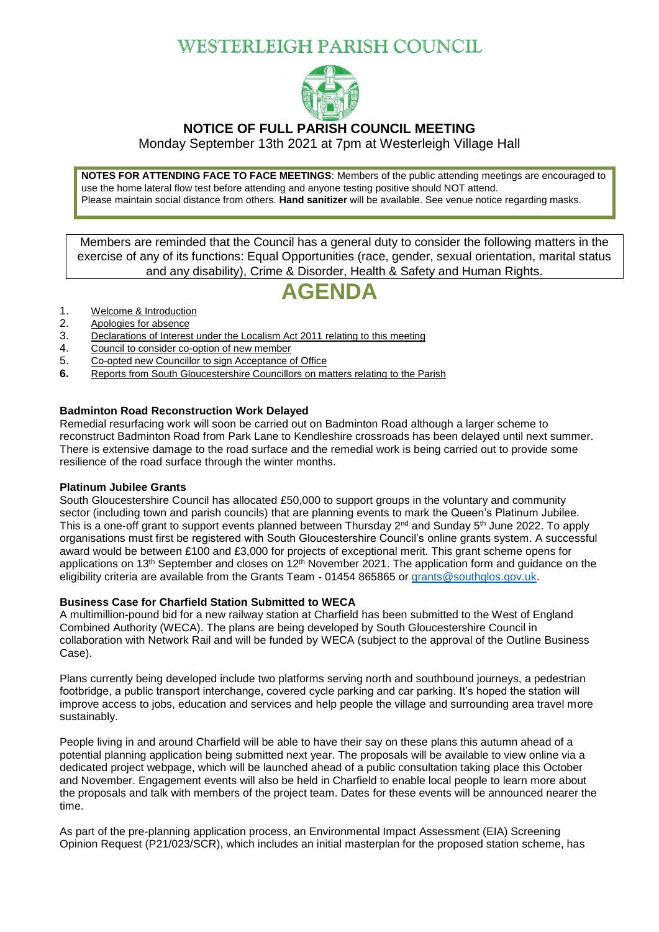## WESTERLEIGH PARISH COUNCIL



### **NOTICE OF FULL PARISH COUNCIL MEETING**

Monday September 13th 2021 at 7pm at Westerleigh Village Hall

**NOTES FOR ATTENDING FACE TO FACE MEETINGS**: Members of the public attending meetings are encouraged to use the home lateral flow test before attending and anyone testing positive should NOT attend. Please maintain social distance from others. **Hand sanitizer** will be available. See venue notice regarding masks.

Members are reminded that the Council has a general duty to consider the following matters in the exercise of any of its functions: Equal Opportunities (race, gender, sexual orientation, marital status and any disability), Crime & Disorder, Health & Safety and Human Rights.

# **AGENDA**

- 1. Welcome & Introduction
- 2. Apologies for absence
- 3. Declarations of Interest under the Localism Act 2011 relating to this meeting
- 4. Council to consider co-option of new member
- 5. Co-opted new Councillor to sign Acceptance of Office
- **6.** Reports from South Gloucestershire Councillors on matters relating to the Parish

#### **Badminton Road Reconstruction Work Delayed**

Remedial resurfacing work will soon be carried out on Badminton Road although a larger scheme to reconstruct Badminton Road from Park Lane to Kendleshire crossroads has been delayed until next summer. There is extensive damage to the road surface and the remedial work is being carried out to provide some resilience of the road surface through the winter months.

#### **Platinum Jubilee Grants**

South Gloucestershire Council has allocated £50,000 to support groups in the voluntary and community sector (including town and parish councils) that are planning events to mark the Queen's Platinum Jubilee. This is a one-off grant to support events planned between Thursday 2<sup>nd</sup> and Sunday 5<sup>th</sup> June 2022. To apply organisations must first be registered with South Gloucestershire Council's online grants system. A successful award would be between £100 and £3,000 for projects of exceptional merit. This grant scheme opens for applications on 13<sup>th</sup> September and closes on 12<sup>th</sup> November 2021. The application form and quidance on the eligibility criteria are available from the Grants Team - 01454 865865 or [grants@southglos.gov.uk.](mailto:grants@southglos.gov.uk)

#### **Business Case for Charfield Station Submitted to WECA**

A multimillion-pound bid for a new railway station at Charfield has been submitted to the West of England Combined Authority (WECA). The plans are being developed by South Gloucestershire Council in collaboration with Network Rail and will be funded by WECA (subject to the approval of the Outline Business Case).

Plans currently being developed include two platforms serving north and southbound journeys, a pedestrian footbridge, a public transport interchange, covered cycle parking and car parking. It's hoped the station will improve access to jobs, education and services and help people the village and surrounding area travel more sustainably.

People living in and around Charfield will be able to have their say on these plans this autumn ahead of a potential planning application being submitted next year. The proposals will be available to view online via a dedicated project webpage, which will be launched ahead of a public consultation taking place this October and November. Engagement events will also be held in Charfield to enable local people to learn more about the proposals and talk with members of the project team. Dates for these events will be announced nearer the time.

As part of the pre-planning application process, an Environmental Impact Assessment (EIA) Screening Opinion Request (P21/023/SCR), which includes an initial masterplan for the proposed station scheme, has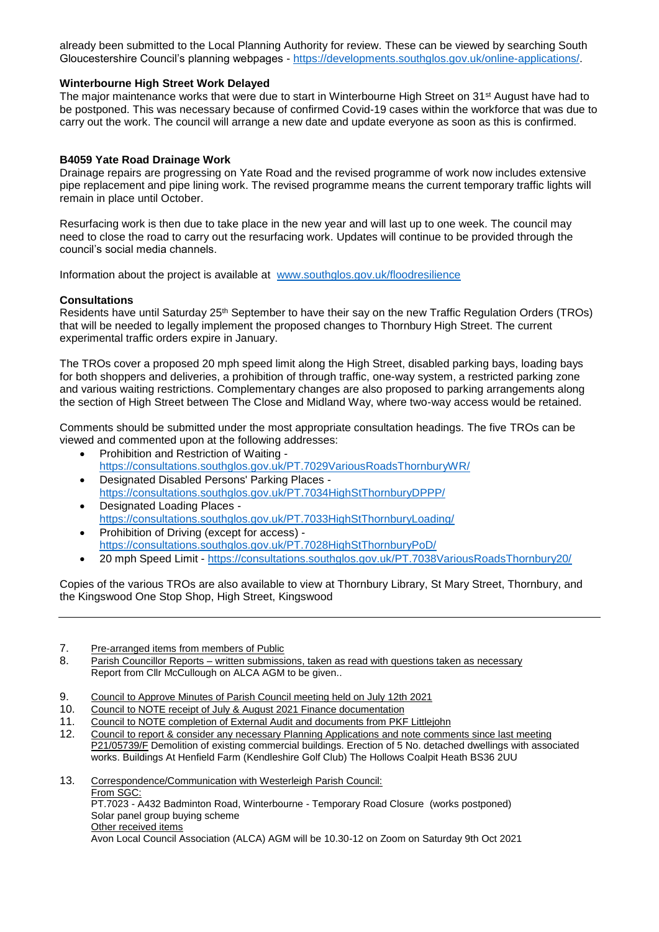already been submitted to the Local Planning Authority for review. These can be viewed by searching South Gloucestershire Council's planning webpages - [https://developments.southglos.gov.uk/online-applications/.](https://developments.southglos.gov.uk/online-applications/)

#### **Winterbourne High Street Work Delayed**

The maior maintenance works that were due to start in Winterbourne High Street on 31<sup>st</sup> August have had to be postponed. This was necessary because of confirmed Covid-19 cases within the workforce that was due to carry out the work. The council will arrange a new date and update everyone as soon as this is confirmed.

#### **B4059 Yate Road Drainage Work**

Drainage repairs are progressing on Yate Road and the revised programme of work now includes extensive pipe replacement and pipe lining work. The revised programme means the current temporary traffic lights will remain in place until October.

Resurfacing work is then due to take place in the new year and will last up to one week. The council may need to close the road to carry out the resurfacing work. Updates will continue to be provided through the council's social media channels.

Information about the project is available at [www.southglos.gov.uk/floodresilience](http://www.southglos.gov.uk/floodresilience)

#### **Consultations**

Residents have until Saturday 25<sup>th</sup> September to have their say on the new Traffic Regulation Orders (TROs) that will be needed to legally implement the proposed changes to Thornbury High Street. The current experimental traffic orders expire in January.

The TROs cover a proposed 20 mph speed limit along the High Street, disabled parking bays, loading bays for both shoppers and deliveries, a prohibition of through traffic, one-way system, a restricted parking zone and various waiting restrictions. Complementary changes are also proposed to parking arrangements along the section of High Street between The Close and Midland Way, where two-way access would be retained.

Comments should be submitted under the most appropriate consultation headings. The five TROs can be viewed and commented upon at the following addresses:

- Prohibition and Restriction of Waiting <https://consultations.southglos.gov.uk/PT.7029VariousRoadsThornburyWR/>
- Designated Disabled Persons' Parking Places <https://consultations.southglos.gov.uk/PT.7034HighStThornburyDPPP/>
- Designated Loading Places <https://consultations.southglos.gov.uk/PT.7033HighStThornburyLoading/>
- Prohibition of Driving (except for access) <https://consultations.southglos.gov.uk/PT.7028HighStThornburyPoD/>
- 20 mph Speed Limit <https://consultations.southglos.gov.uk/PT.7038VariousRoadsThornbury20/>

Copies of the various TROs are also available to view at Thornbury Library, St Mary Street, Thornbury, and the Kingswood One Stop Shop, High Street, Kingswood

7. Pre-arranged items from members of Public

- 8. Parish Councillor Reports written submissions, taken as read with questions taken as necessary Report from Cllr McCullough on ALCA AGM to be given..
- 9. Council to Approve Minutes of Parish Council meeting held on July 12th 2021
- 10. Council to NOTE receipt of July & August 2021 Finance documentation
- 11. Council to NOTE completion of External Audit and documents from PKF Littlejohn
- 12. Council to report & consider any necessary Planning Applications and note comments since last meeting [P21/05739/F](https://developments.southglos.gov.uk/online-applications/applicationDetails.do?activeTab=dates&keyVal=QYCLXXOKLOO00&prevPage=inTray) Demolition of existing commercial buildings. Erection of 5 No. detached dwellings with associated works. Buildings At Henfield Farm (Kendleshire Golf Club) The Hollows Coalpit Heath BS36 2UU

13. Correspondence/Communication with Westerleigh Parish Council: From SGC: PT.7023 - A432 Badminton Road, Winterbourne - Temporary Road Closure (works postponed) Solar panel group buying scheme Other received items Avon Local Council Association (ALCA) AGM will be 10.30-12 on Zoom on Saturday 9th Oct 2021